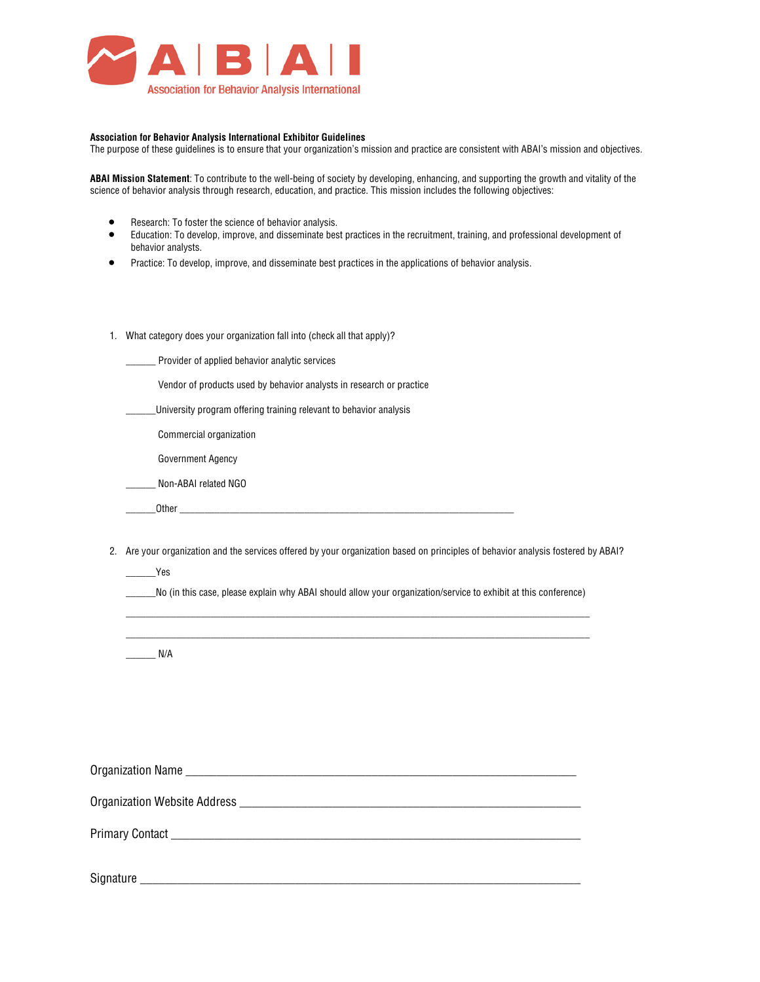

#### **Association for Behavior Analysis International Exhibitor Guidelines**

The purpose of these guidelines is to ensure that your organization's mission and practice are consistent with ABAI's mission and objectives.

**ABAI Mission Statement**: To contribute to the well-being of society by developing, enhancing, and supporting the growth and vitality of the science of behavior analysis through research, education, and practice. This mission includes the following objectives:

- Research: To foster the science of behavior analysis.
- Education: To develop, improve, and disseminate best practices in the recruitment, training, and professional development of behavior analysts.
- Practice: To develop, improve, and disseminate best practices in the applications of behavior analysis.
- 1. What category does your organization fall into (check all that apply)?
	- \_\_\_\_\_\_ Provider of applied behavior analytic services
	- Vendor of products used by behavior analysts in research or practice
	- \_\_\_\_\_\_University program offering training relevant to behavior analysis
	- \_\_\_\_\_\_ Commercial organization
	- \_\_\_\_\_\_ Government Agency
	- \_\_\_\_\_\_ Non-ABAI related NGO
		- Other  $\rule{1em}{0.15mm}$
- 2. Are your organization and the services offered by your organization based on principles of behavior analysis fostered by ABAI?

\_\_\_\_\_\_Yes

\_\_\_\_\_\_No (in this case, please explain why ABAI should allow your organization/service to exhibit at this conference)  $\_$  ,  $\_$  ,  $\_$  ,  $\_$  ,  $\_$  ,  $\_$  ,  $\_$  ,  $\_$  ,  $\_$  ,  $\_$  ,  $\_$  ,  $\_$  ,  $\_$  ,  $\_$  ,  $\_$  ,  $\_$  ,  $\_$  ,  $\_$  ,  $\_$  ,  $\_$ 

 $\_$  ,  $\_$  ,  $\_$  ,  $\_$  ,  $\_$  ,  $\_$  ,  $\_$  ,  $\_$  ,  $\_$  ,  $\_$  ,  $\_$  ,  $\_$  ,  $\_$  ,  $\_$  ,  $\_$  ,  $\_$  ,  $\_$  ,  $\_$  ,  $\_$  ,  $\_$ 

 $N/A$ 

| Signature |
|-----------|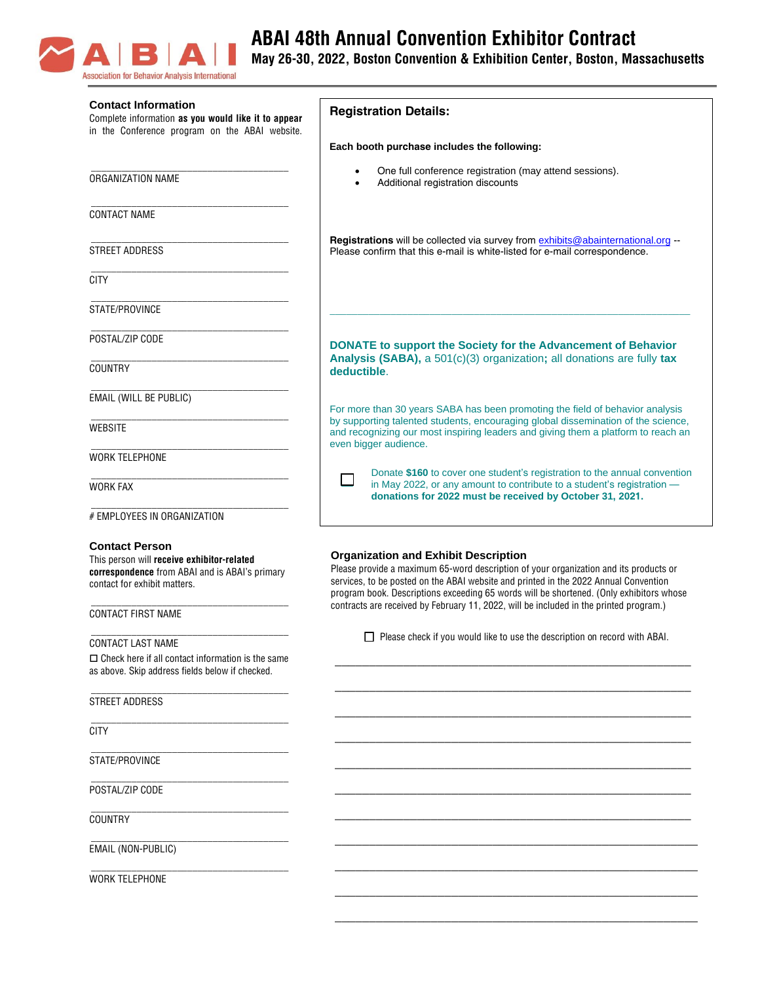

# **ABAI 48th Annual Convention Exhibitor Contract**

**May 26-30, 2022, Boston Convention & Exhibition Center, Boston, Massachusetts**

| <b>Contact Information</b><br>Complete information as you would like it to appear<br>in the Conference program on the ABAI website.                                                | <b>Registration Details:</b>                                                                                                                                                                                                                                                                                                                                                                                      |  |  |
|------------------------------------------------------------------------------------------------------------------------------------------------------------------------------------|-------------------------------------------------------------------------------------------------------------------------------------------------------------------------------------------------------------------------------------------------------------------------------------------------------------------------------------------------------------------------------------------------------------------|--|--|
|                                                                                                                                                                                    | Each booth purchase includes the following:                                                                                                                                                                                                                                                                                                                                                                       |  |  |
| ORGANIZATION NAME                                                                                                                                                                  | One full conference registration (may attend sessions).<br>Additional registration discounts                                                                                                                                                                                                                                                                                                                      |  |  |
| <b>CONTACT NAME</b>                                                                                                                                                                |                                                                                                                                                                                                                                                                                                                                                                                                                   |  |  |
| STREET ADDRESS                                                                                                                                                                     | Registrations will be collected via survey from exhibits@abainternational.org<br>Please confirm that this e-mail is white-listed for e-mail correspondence.                                                                                                                                                                                                                                                       |  |  |
| <b>CITY</b>                                                                                                                                                                        |                                                                                                                                                                                                                                                                                                                                                                                                                   |  |  |
| STATE/PROVINCE                                                                                                                                                                     |                                                                                                                                                                                                                                                                                                                                                                                                                   |  |  |
| POSTAL/ZIP CODE                                                                                                                                                                    | DONATE to support the Society for the Advancement of Behavior                                                                                                                                                                                                                                                                                                                                                     |  |  |
| COUNTRY                                                                                                                                                                            | Analysis (SABA), a 501(c)(3) organization; all donations are fully tax<br>deductible.                                                                                                                                                                                                                                                                                                                             |  |  |
| EMAIL (WILL BE PUBLIC)                                                                                                                                                             | For more than 30 years SABA has been promoting the field of behavior analysis                                                                                                                                                                                                                                                                                                                                     |  |  |
| <b>WEBSITE</b>                                                                                                                                                                     | by supporting talented students, encouraging global dissemination of the science,<br>and recognizing our most inspiring leaders and giving them a platform to reach an                                                                                                                                                                                                                                            |  |  |
| <b>WORK TELEPHONE</b>                                                                                                                                                              | even bigger audience.                                                                                                                                                                                                                                                                                                                                                                                             |  |  |
| <b>WORK FAX</b>                                                                                                                                                                    | Donate \$160 to cover one student's registration to the annual convention<br>in May 2022, or any amount to contribute to a student's registration -<br>donations for 2022 must be received by October 31, 2021.                                                                                                                                                                                                   |  |  |
| # EMPLOYEES IN ORGANIZATION                                                                                                                                                        |                                                                                                                                                                                                                                                                                                                                                                                                                   |  |  |
| <b>Contact Person</b><br>This person will receive exhibitor-related<br>correspondence from ABAI and is ABAI's primary<br>contact for exhibit matters.<br><b>CONTACT FIRST NAME</b> | <b>Organization and Exhibit Description</b><br>Please provide a maximum 65-word description of your organization and its products or<br>services, to be posted on the ABAI website and printed in the 2022 Annual Convention<br>program book. Descriptions exceeding 65 words will be shortened. (Only exhibitors whose<br>contracts are received by February 11, 2022, will be included in the printed program.) |  |  |
|                                                                                                                                                                                    | $\Box$ Please check if you would like to use the description on record with ABAI.                                                                                                                                                                                                                                                                                                                                 |  |  |
| CONTACT LAST NAME<br>$\Box$ Check here if all contact information is the same<br>as above. Skip address fields below if checked.                                                   |                                                                                                                                                                                                                                                                                                                                                                                                                   |  |  |
| STREET ADDRESS                                                                                                                                                                     |                                                                                                                                                                                                                                                                                                                                                                                                                   |  |  |
| <b>CITY</b>                                                                                                                                                                        |                                                                                                                                                                                                                                                                                                                                                                                                                   |  |  |
| STATE/PROVINCE                                                                                                                                                                     |                                                                                                                                                                                                                                                                                                                                                                                                                   |  |  |
| POSTAL/ZIP CODE                                                                                                                                                                    |                                                                                                                                                                                                                                                                                                                                                                                                                   |  |  |
| <b>COUNTRY</b>                                                                                                                                                                     |                                                                                                                                                                                                                                                                                                                                                                                                                   |  |  |
| EMAIL (NON-PUBLIC)                                                                                                                                                                 |                                                                                                                                                                                                                                                                                                                                                                                                                   |  |  |
| <b>WORK TELEPHONE</b>                                                                                                                                                              |                                                                                                                                                                                                                                                                                                                                                                                                                   |  |  |
|                                                                                                                                                                                    |                                                                                                                                                                                                                                                                                                                                                                                                                   |  |  |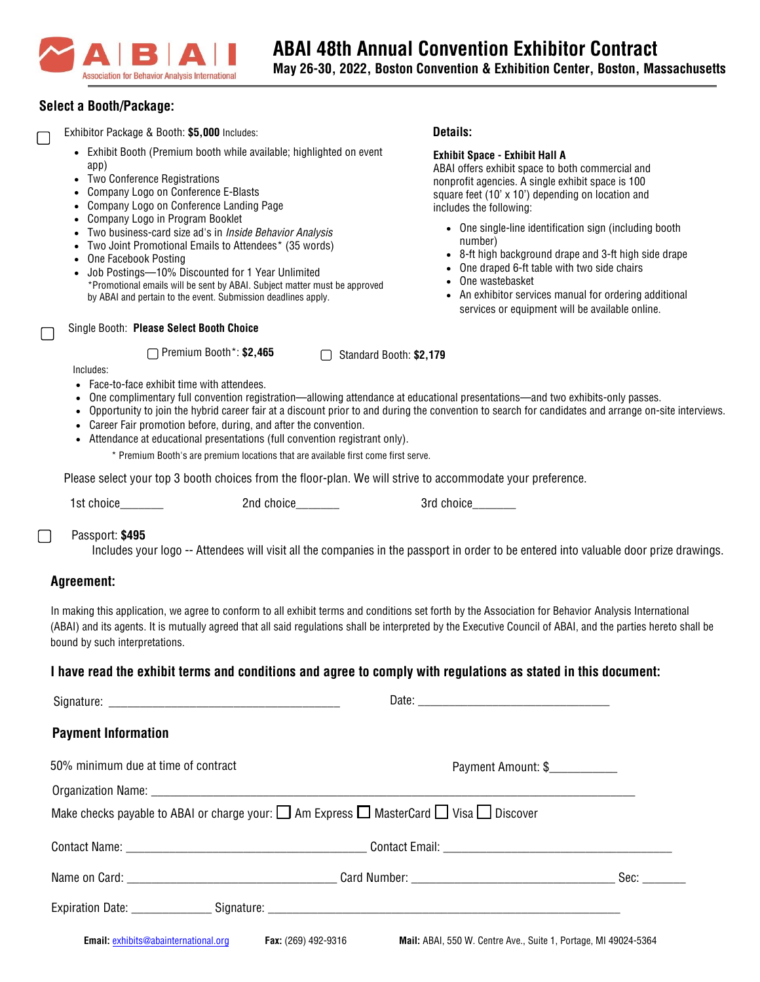

# **Select a Booth/Package:**

▢

Exhibitor Package & Booth: **\$5,000** Includes:

- Exhibit Booth (Premium booth while available; highlighted on event app)
- Two Conference Registrations
- Company Logo on Conference E-Blasts
- Company Logo on Conference Landing Page
- Company Logo in Program Booklet
- Two business-card size ad's in Inside Behavior Analysis
- Two Joint Promotional Emails to Attendees\* (35 words)

▢ Premium Booth\*: **\$2,465**

- One Facebook Posting
- Job Postings—10% Discounted for 1 Year Unlimited \*Promotional emails will be sent by ABAI. Subject matter must be approved by ABAI and pertain to the event. Submission deadlines apply.

▢ Single Booth: **Please Select Booth Choice**

# **Exhibit Space - Exhibit Hall A**

**Details:**

ABAI offers exhibit space to both commercial and nonprofit agencies. A single exhibit space is 100 square feet (10'  $\times$  10') depending on location and includes the following:

- One single-line identification sign (including booth number)
- 8-ft high background drape and 3-ft high side drape
- One draped 6-ft table with two side chairs
- One wastebasket
- An exhibitor services manual for ordering additional services or equipment will be available online.

Includes:

- Face-to-face exhibit time with attendees.
- One complimentary full convention registration—allowing attendance at educational presentations—and two exhibits-only passes.

Standard Booth: **\$2,179** ▢

- Opportunity to join the hybrid career fair at a discount prior to and during the convention to search for candidates and arrange on-site interviews.
- Career Fair promotion before, during, and after the convention.
- Attendance at educational presentations (full convention registrant only).

\* Premium Booth's are premium locations that are available first come first serve.

Please select your top 3 booth choices from the floor-plan. We will strive to accommodate your preference.

1st choice and  $2n$ d choice and  $2n$  and choice and  $3r$ d choice

# Passport: **\$495**

Includes your logo -- Attendees will visit all the companies in the passport in order to be entered into valuable door prize drawings.

# **Agreement:**

 $\Box$ 

In making this application, we agree to conform to all exhibit terms and conditions set forth by the Association for Behavior Analysis International (ABAI) and its agents. It is mutually agreed that all said regulations shall be interpreted by the Executive Council of ABAI, and the parties hereto shall be bound by such interpretations.

# **I have read the exhibit terms and conditions and agree to comply with regulations as stated in this document:**

|                                                                                                                         | Date:                                                           |      |
|-------------------------------------------------------------------------------------------------------------------------|-----------------------------------------------------------------|------|
| <b>Payment Information</b>                                                                                              |                                                                 |      |
| 50% minimum due at time of contract                                                                                     | Payment Amount: \$                                              |      |
|                                                                                                                         |                                                                 |      |
| Make checks payable to ABAI or charge your: $\square$ Am Express $\square$ MasterCard $\square$ Visa $\square$ Discover |                                                                 |      |
|                                                                                                                         |                                                                 |      |
|                                                                                                                         |                                                                 | Sec: |
|                                                                                                                         |                                                                 |      |
| Email: exhibits@abainternational.org Fax: (269) 492-9316                                                                | Mail: ABAI, 550 W. Centre Ave., Suite 1, Portage, MI 49024-5364 |      |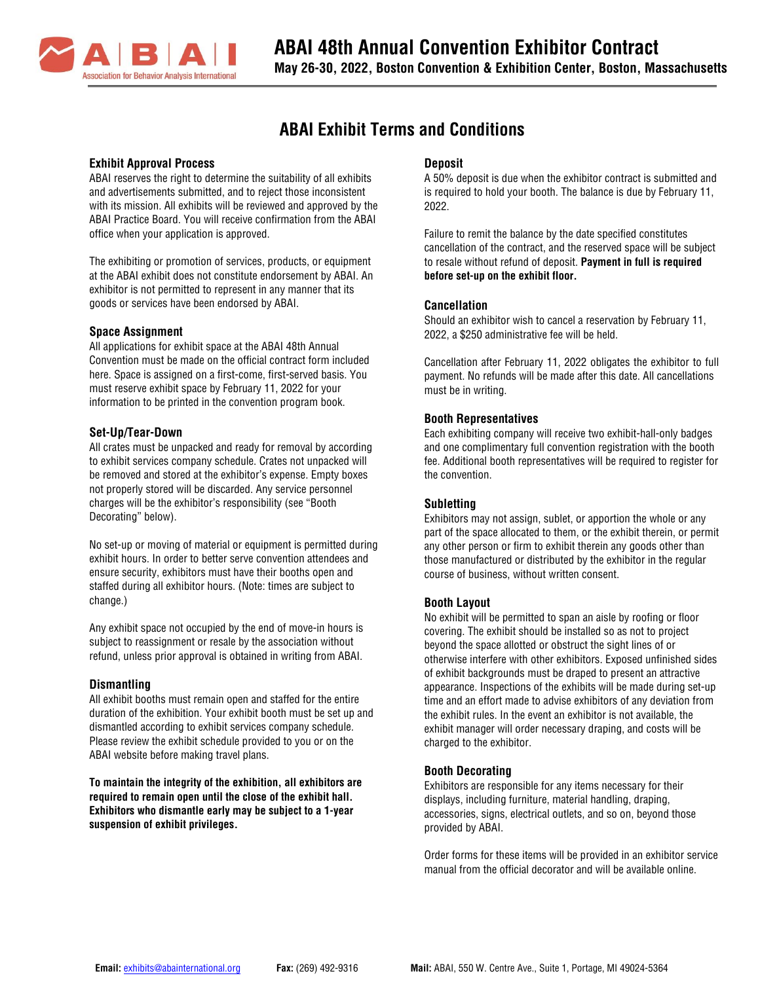

# **ABAI Exhibit Terms and Conditions**

#### **Exhibit Approval Process**

ABAI reserves the right to determine the suitability of all exhibits and advertisements submitted, and to reject those inconsistent with its mission. All exhibits will be reviewed and approved by the ABAI Practice Board. You will receive confirmation from the ABAI office when your application is approved.

The exhibiting or promotion of services, products, or equipment at the ABAI exhibit does not constitute endorsement by ABAI. An exhibitor is not permitted to represent in any manner that its goods or services have been endorsed by ABAI.

#### **Space Assignment**

All applications for exhibit space at the ABAI 48th Annual Convention must be made on the official contract form included here. Space is assigned on a first-come, first-served basis. You must reserve exhibit space by February 11, 2022 for your information to be printed in the convention program book.

#### **Set-Up/Tear-Down**

All crates must be unpacked and ready for removal by according to exhibit services company schedule. Crates not unpacked will be removed and stored at the exhibitor's expense. Empty boxes not properly stored will be discarded. Any service personnel charges will be the exhibitor's responsibility (see "Booth Decorating" below).

No set-up or moving of material or equipment is permitted during exhibit hours. In order to better serve convention attendees and ensure security, exhibitors must have their booths open and staffed during all exhibitor hours. (Note: times are subject to change.)

Any exhibit space not occupied by the end of move-in hours is subject to reassignment or resale by the association without refund, unless prior approval is obtained in writing from ABAI.

#### **Dismantling**

All exhibit booths must remain open and staffed for the entire duration of the exhibition. Your exhibit booth must be set up and dismantled according to exhibit services company schedule. Please review the exhibit schedule provided to you or on the ABAI website before making travel plans.

**To maintain the integrity of the exhibition, all exhibitors are required to remain open until the close of the exhibit hall. Exhibitors who dismantle early may be subject to a 1-year suspension of exhibit privileges.**

# **Deposit**

A 50% deposit is due when the exhibitor contract is submitted and is required to hold your booth. The balance is due by February 11, 2022.

Failure to remit the balance by the date specified constitutes cancellation of the contract, and the reserved space will be subject to resale without refund of deposit. **Payment in full is required before set-up on the exhibit floor.**

#### **Cancellation**

Should an exhibitor wish to cancel a reservation by February 11, 2022, a \$250 administrative fee will be held.

Cancellation after February 11, 2022 obligates the exhibitor to full payment. No refunds will be made after this date. All cancellations must be in writing.

# **Booth Representatives**

Each exhibiting company will receive two exhibit-hall-only badges and one complimentary full convention registration with the booth fee. Additional booth representatives will be required to register for the convention.

# **Subletting**

Exhibitors may not assign, sublet, or apportion the whole or any part of the space allocated to them, or the exhibit therein, or permit any other person or firm to exhibit therein any goods other than those manufactured or distributed by the exhibitor in the regular course of business, without written consent.

# **Booth Layout**

No exhibit will be permitted to span an aisle by roofing or floor covering. The exhibit should be installed so as not to project beyond the space allotted or obstruct the sight lines of or otherwise interfere with other exhibitors. Exposed unfinished sides of exhibit backgrounds must be draped to present an attractive appearance. Inspections of the exhibits will be made during set-up time and an effort made to advise exhibitors of any deviation from the exhibit rules. In the event an exhibitor is not available, the exhibit manager will order necessary draping, and costs will be charged to the exhibitor.

# **Booth Decorating**

Exhibitors are responsible for any items necessary for their displays, including furniture, material handling, draping, accessories, signs, electrical outlets, and so on, beyond those provided by ABAI.

Order forms for these items will be provided in an exhibitor service manual from the official decorator and will be available online.